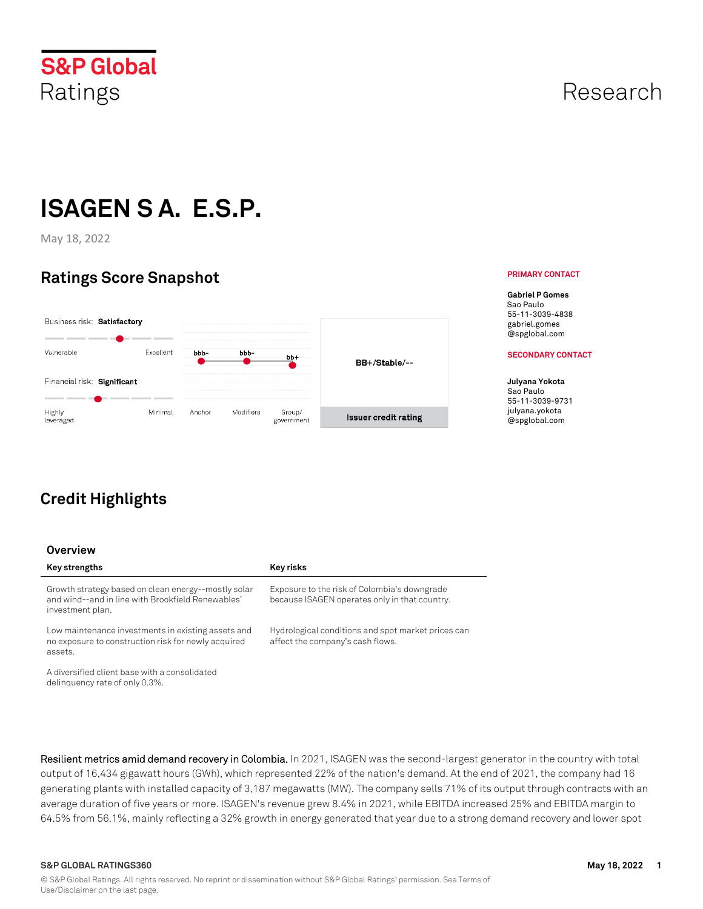

## Research

**PRIMARY CONTACT**

# **ISAGEN S A. E.S.P.**

May 18, 2022

## **Ratings Score Snapshot**



## **Credit Highlights**

#### **Overview**

| Key strengths                                                                                                                | <b>Key risks</b>                                                                              |
|------------------------------------------------------------------------------------------------------------------------------|-----------------------------------------------------------------------------------------------|
| Growth strategy based on clean energy--mostly solar<br>and wind--and in line with Brookfield Renewables'<br>investment plan. | Exposure to the risk of Colombia's downgrade<br>because ISAGEN operates only in that country. |
| Low maintenance investments in existing assets and<br>no exposure to construction risk for newly acquired<br>assets.         | Hydrological conditions and spot market prices can<br>affect the company's cash flows.        |
| A diversified client base with a consolidated<br>delinguency rate of only 0.3%.                                              |                                                                                               |
|                                                                                                                              |                                                                                               |

**Resilient metrics amid demand recovery in Colombia.** In 2021, ISAGEN was the second-largest generator in the country with total output of 16,434 gigawatt hours (GWh), which represented 22% of the nation's demand. At the end of 2021, the company had 16 generating plants with installed capacity of 3,187 megawatts (MW). The company sells 71% of its output through contracts with an average duration of five years or more. ISAGEN's revenue grew 8.4% in 2021, while EBITDA increased 25% and EBITDA margin to 64.5% from 56.1%, mainly reflecting a 32% growth in energy generated that year due to a strong demand recovery and lower spot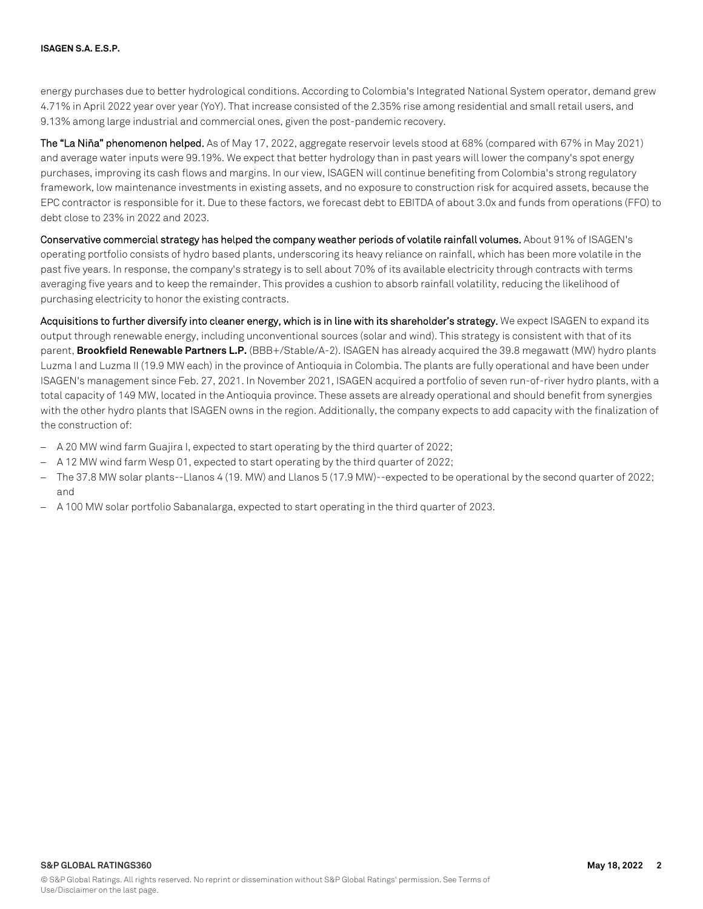energy purchases due to better hydrological conditions. According to Colombia's Integrated National System operator, demand grew 4.71% in April 2022 year over year (YoY). That increase consisted of the 2.35% rise among residential and small retail users, and 9.13% among large industrial and commercial ones, given the post-pandemic recovery.

**The "La Niña" phenomenon helped.** As of May 17, 2022, aggregate reservoir levels stood at 68% (compared with 67% in May 2021) and average water inputs were 99.19%. We expect that better hydrology than in past years will lower the company's spot energy purchases, improving its cash flows and margins. In our view, ISAGEN will continue benefiting from Colombia's strong regulatory framework, low maintenance investments in existing assets, and no exposure to construction risk for acquired assets, because the EPC contractor is responsible for it. Due to these factors, we forecast debt to EBITDA of about 3.0x and funds from operations (FFO) to debt close to 23% in 2022 and 2023.

**Conservative commercial strategy has helped the company weather periods of volatile rainfall volumes.** About 91% of ISAGEN's operating portfolio consists of hydro based plants, underscoring its heavy reliance on rainfall, which has been more volatile in the past five years. In response, the company's strategy is to sell about 70% of its available electricity through contracts with terms averaging five years and to keep the remainder. This provides a cushion to absorb rainfall volatility, reducing the likelihood of purchasing electricity to honor the existing contracts.

**Acquisitions to further diversify into cleaner energy, which is in line with its shareholder's strategy.** We expect ISAGEN to expand its output through renewable energy, including unconventional sources (solar and wind). This strategy is consistent with that of its parent, **Brookfield Renewable Partners L.P.** (BBB+/Stable/A-2). ISAGEN has already acquired the 39.8 megawatt (MW) hydro plants Luzma I and Luzma II (19.9 MW each) in the province of Antioquia in Colombia. The plants are fully operational and have been under ISAGEN's management since Feb. 27, 2021. In November 2021, ISAGEN acquired a portfolio of seven run-of-river hydro plants, with a total capacity of 149 MW, located in the Antioquia province. These assets are already operational and should benefit from synergies with the other hydro plants that ISAGEN owns in the region. Additionally, the company expects to add capacity with the finalization of the construction of:

- $-$  A 20 MW wind farm Guajira I, expected to start operating by the third quarter of 2022;
- A 12 MW wind farm Wesp 01, expected to start operating by the third quarter of 2022;
- $-$  The 37.8 MW solar plants--Llanos 4 (19. MW) and Llanos 5 (17.9 MW)--expected to be operational by the second quarter of 2022; and
- A 100 MW solar portfolio Sabanalarga, expected to startoperating in the third quarter of 2023.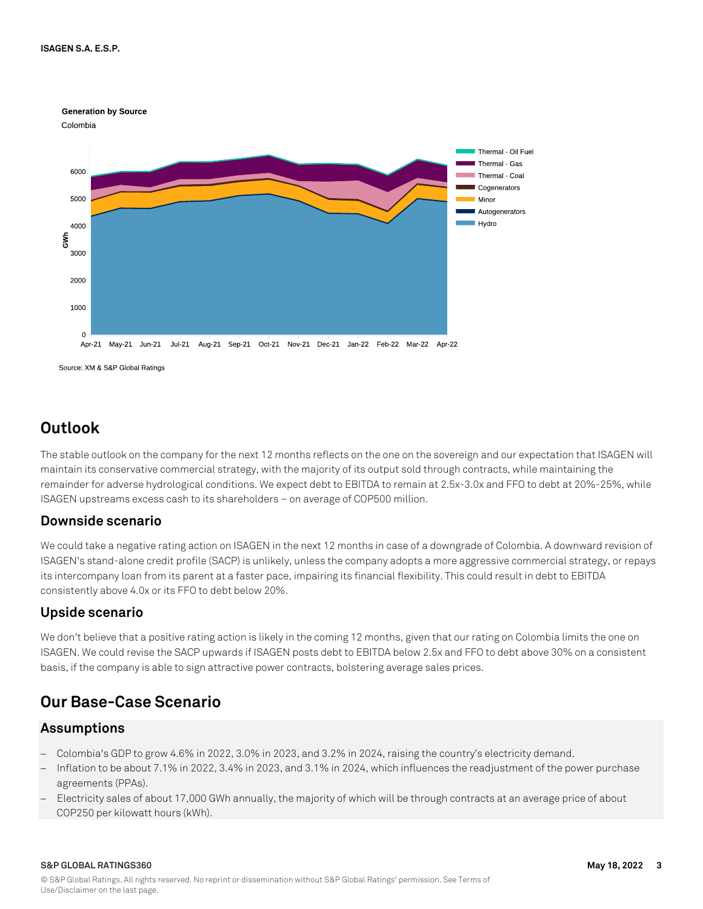

## **Outlook**

The stable outlook on the company for the next 12 months reflects on the one on the sovereign and our expectation that ISAGEN will maintain its conservative commercial strategy, with the majority of its output sold through contracts, while maintaining the remainder for adverse hydrological conditions. We expect debt to EBITDA to remain at 2.5x-3.0x and FFO to debt at 20%-25%, while ISAGEN upstreams excess cash to its shareholders – on average of COP500 million.

### **Downside scenario**

We could take a negative rating action on ISAGEN in the next 12 months in case of a downgrade of Colombia. A downward revision of ISAGEN's stand-alone credit profile (SACP) is unlikely, unless the company adopts a more aggressive commercial strategy, or repays its intercompany loan from its parent at a faster pace, impairing its financial flexibility. This could result in debt to EBITDA consistently above 4.0x or its FFO to debt below 20%.

### **Upside scenario**

We don't believe that a positive rating action is likely in the coming 12 months, given that our rating on Colombia limits the one on ISAGEN. We could revise the SACP upwards if ISAGEN posts debt to EBITDA below 2.5x and FFO to debt above 30% on a consistent basis, if the company is able to sign attractive power contracts, bolstering average sales prices.

## **Our Base-Case Scenario**

### **Assumptions**

- Colombia's GDP to grow 4.6% in 2022, 3.0% in 2023, and 3.2% in 2024, raising the country's electricity demand.
- Inflation to be about 7.1% in 2022, 3.4% in 2023, and 3.1% in 2024, which influences the readjustment of the power purchase agreements (PPAs).
- Electricity sales of about 17,000 GWh annually, the majority of which will be through contracts at an average price of about COP250 per kilowatt hours (kWh).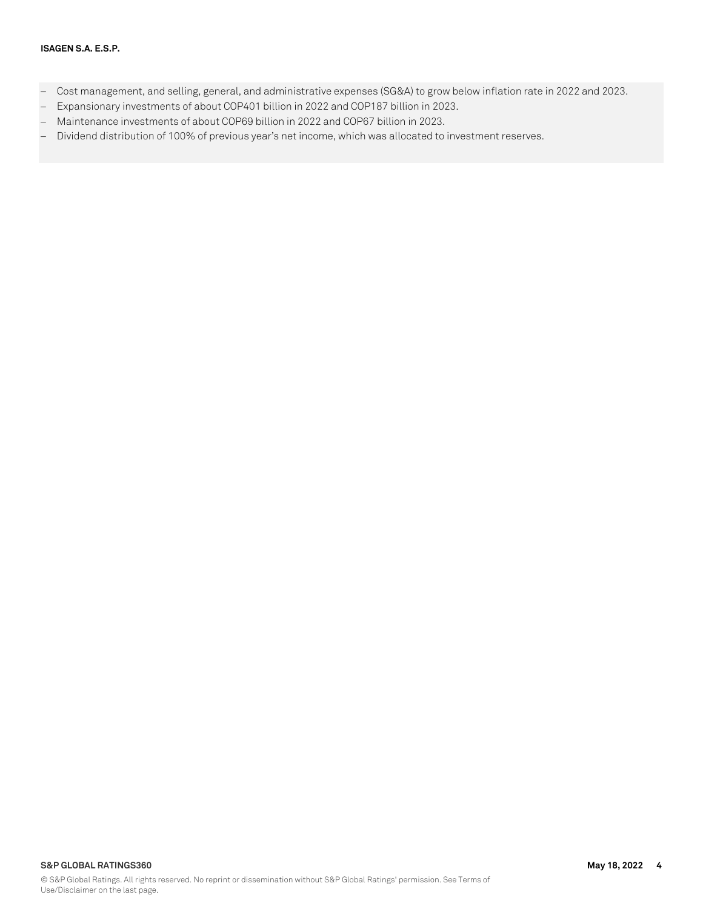- Cost management, and selling, general, and administrative expenses (SG&A) to grow below inflation rate in 2022 and 2023.
- Expansionary investments of about COP401 billion in 2022 and COP187 billion in 2023.
- Maintenance investments of about COP69 billion in 2022 and COP67 billion in 2023.
- Dividend distribution of 100% of previous year's net income, which was allocated to investment reserves.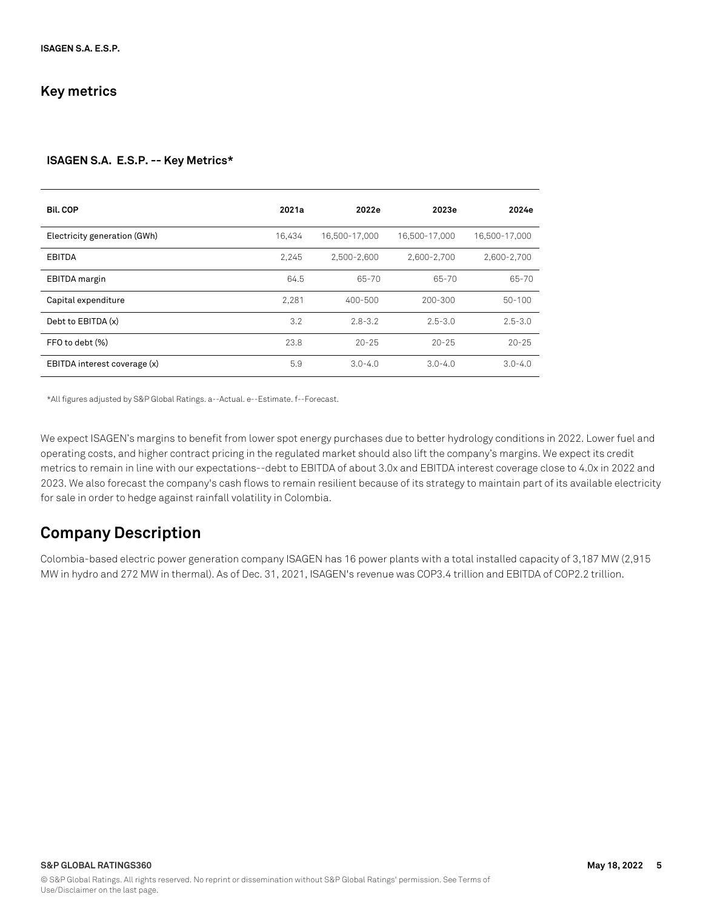### **Key metrics**

#### **ISAGEN S.A. E.S.P. -- Key Metrics\***

| <b>Bil.COP</b>               | 2021a  | 2022e         | 2023e         | 2024e         |
|------------------------------|--------|---------------|---------------|---------------|
| Electricity generation (GWh) | 16.434 | 16.500-17.000 | 16.500-17.000 | 16.500-17.000 |
| EBITDA                       | 2.245  | 2,500-2,600   | 2,600-2,700   | 2,600-2,700   |
| EBITDA margin                | 64.5   | 65-70         | 65-70         | 65-70         |
| Capital expenditure          | 2.281  | 400-500       | 200-300       | $50 - 100$    |
| Debt to EBITDA (x)           | 3.2    | $2.8 - 3.2$   | $2.5 - 3.0$   | $2.5 - 3.0$   |
| FFO to debt (%)              | 23.8   | $20 - 25$     | $20 - 25$     | $20 - 25$     |
| EBITDA interest coverage (x) | 5.9    | $3.0 - 4.0$   | $3.0 - 4.0$   | $3.0 - 4.0$   |

\*All figures adjusted by S&P Global Ratings. a--Actual. e--Estimate. f--Forecast.

We expect ISAGEN's margins to benefit from lower spot energy purchases due to better hydrology conditions in 2022. Lower fuel and operating costs, and higher contract pricing in the regulated market should also lift the company's margins. We expect its credit metrics to remain in line with our expectations--debt to EBITDA of about 3.0x and EBITDA interest coverage close to 4.0x in 2022 and 2023. We also forecast the company's cash flows to remain resilient because of its strategy to maintain part of its available electricity for sale in order to hedge against rainfall volatility in Colombia.

### **Company Description**

Colombia-based electric power generation company ISAGEN has 16 power plants with a total installed capacity of 3,187 MW (2,915 MW in hydro and 272 MW in thermal). As of Dec. 31, 2021, ISAGEN's revenue was COP3.4 trillion and EBITDA of COP2.2 trillion.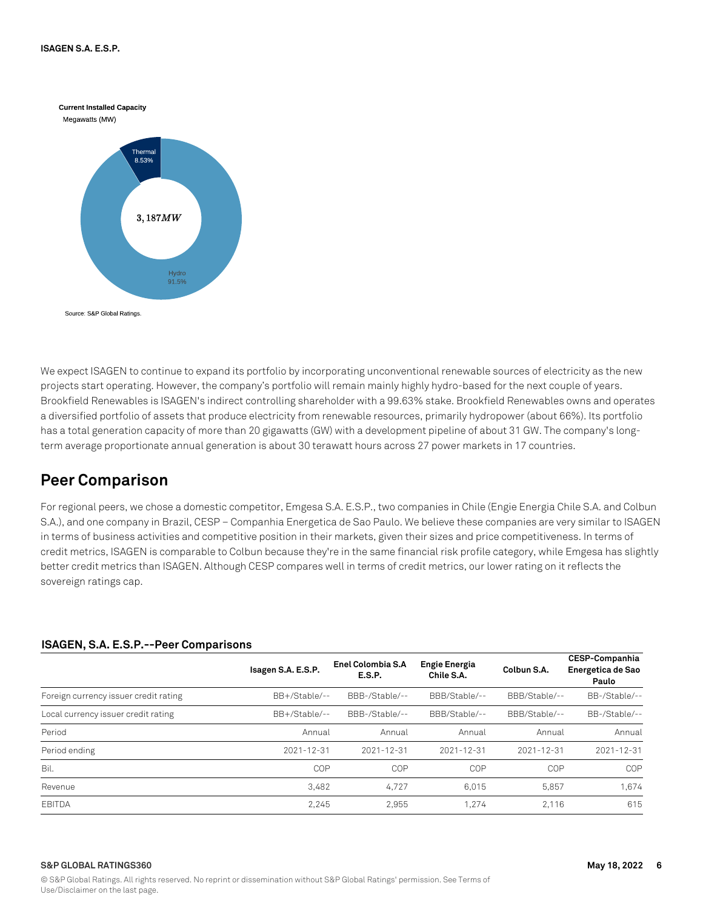

We expect ISAGEN to continue to expand its portfolio by incorporating unconventional renewable sources of electricity as the new projects start operating. However, the company's portfolio will remain mainly highly hydro-based for the next couple of years. Brookfield Renewables is ISAGEN's indirect controlling shareholder with a 99.63% stake. Brookfield Renewables owns and operates a diversified portfolio of assets that produce electricity from renewable resources, primarily hydropower (about 66%). Its portfolio has a total generation capacity of more than 20 gigawatts (GW) with a development pipeline of about 31 GW. The company's longterm average proportionate annual generation is about 30 terawatt hours across 27 power markets in 17 countries.

### **Peer Comparison**

For regional peers, we chose a domestic competitor, Emgesa S.A. E.S.P., two companies in Chile (Engie Energia Chile S.A. and Colbun S.A.), and one company in Brazil, CESP – Companhia Energetica de Sao Paulo. We believe these companies are very similar to ISAGEN in terms of business activities and competitive position in their markets, given their sizes and price competitiveness. In terms of credit metrics, ISAGEN is comparable to Colbun because they're in the same financial risk profile category, while Emgesa has slightly better credit metrics than ISAGEN. Although CESP compares well in terms of credit metrics, our lower rating on it reflects the sovereign ratings cap.

### **ISAGEN, S.A. E.S.P.--Peer Comparisons**

|                                       | Isagen S.A. E.S.P. | Enel Colombia S.A<br><b>E.S.P.</b> | <b>Engie Energia</b><br>Chile S.A. | Colbun S.A.   | <b>CESP-Companhia</b><br>Energetica de Sao<br>Paulo |
|---------------------------------------|--------------------|------------------------------------|------------------------------------|---------------|-----------------------------------------------------|
| Foreign currency issuer credit rating | BB+/Stable/--      | BBB-/Stable/--                     | BBB/Stable/--                      | BBB/Stable/-- | BB-/Stable/--                                       |
| Local currency issuer credit rating   | BB+/Stable/--      | BBB-/Stable/--                     | BBB/Stable/--                      | BBB/Stable/-- | BB-/Stable/--                                       |
| Period                                | Annual             | Annual                             | Annual                             | Annual        | Annual                                              |
| Period ending                         | $2021 - 12 - 31$   | 2021-12-31                         | 2021-12-31                         | 2021-12-31    | $2021 - 12 - 31$                                    |
| Bil.                                  | COP                | COP                                | <b>COP</b>                         | COP           | COP                                                 |
| Revenue                               | 3.482              | 4.727                              | 6.015                              | 5,857         | 1.674                                               |
| EBITDA                                | 2.245              | 2.955                              | 1.274                              | 2.116         | 615                                                 |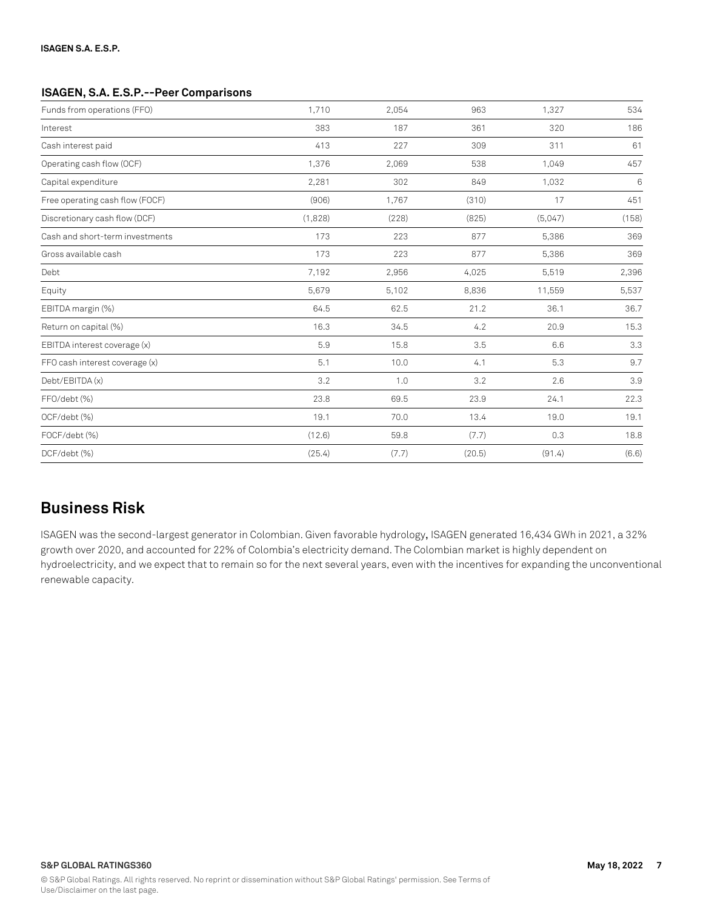#### **ISAGEN, S.A. E.S.P.--Peer Comparisons**

| Funds from operations (FFO)     | 1,710   | 2,054 | 963    | 1,327   | 534   |
|---------------------------------|---------|-------|--------|---------|-------|
| Interest                        | 383     | 187   | 361    | 320     | 186   |
| Cash interest paid              | 413     | 227   | 309    | 311     | 61    |
| Operating cash flow (OCF)       | 1,376   | 2,069 | 538    | 1,049   | 457   |
| Capital expenditure             | 2,281   | 302   | 849    | 1,032   | 6     |
| Free operating cash flow (FOCF) | (906)   | 1,767 | (310)  | 17      | 451   |
| Discretionary cash flow (DCF)   | (1,828) | (228) | (825)  | (5,047) | (158) |
| Cash and short-term investments | 173     | 223   | 877    | 5,386   | 369   |
| Gross available cash            | 173     | 223   | 877    | 5,386   | 369   |
| Debt                            | 7,192   | 2,956 | 4,025  | 5,519   | 2,396 |
| Equity                          | 5,679   | 5,102 | 8,836  | 11,559  | 5,537 |
| EBITDA margin (%)               | 64.5    | 62.5  | 21.2   | 36.1    | 36.7  |
| Return on capital (%)           | 16.3    | 34.5  | 4.2    | 20.9    | 15.3  |
| EBITDA interest coverage (x)    | 5.9     | 15.8  | 3.5    | 6.6     | 3.3   |
| FFO cash interest coverage (x)  | 5.1     | 10.0  | 4.1    | 5.3     | 9.7   |
| Debt/EBITDA (x)                 | 3.2     | 1.0   | 3.2    | 2.6     | 3.9   |
| FFO/debt (%)                    | 23.8    | 69.5  | 23.9   | 24.1    | 22.3  |
| OCF/debt (%)                    | 19.1    | 70.0  | 13.4   | 19.0    | 19.1  |
| FOCF/debt (%)                   | (12.6)  | 59.8  | (7.7)  | 0.3     | 18.8  |
| DCF/debt (%)                    | (25.4)  | (7.7) | (20.5) | (91.4)  | (6.6) |

### **Business Risk**

ISAGEN was the second-largest generator in Colombian. Given favorable hydrology, ISAGEN generated 16,434 GWh in 2021, a 32% growth over 2020, and accounted for 22% of Colombia's electricity demand. The Colombian market is highly dependent on hydroelectricity, and we expect that to remain so for the next several years, even with the incentives for expanding the unconventional renewable capacity.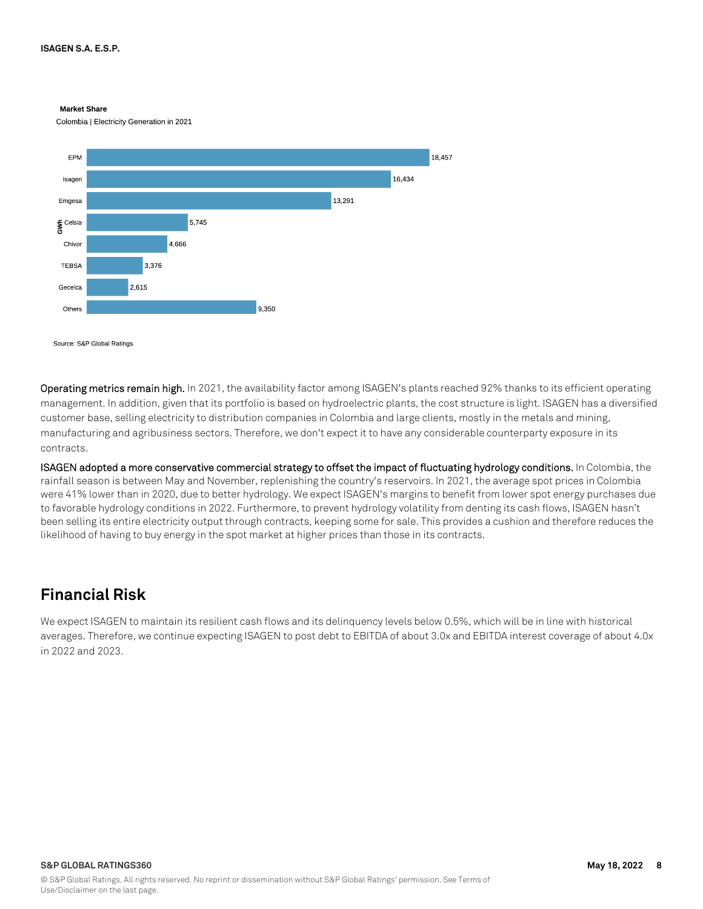#### **Market Share**

Colombia | Electricity Generation in 2021



Source: S&P Global Ratings

**Operating metrics remain high.** In 2021, the availability factor among ISAGEN's plants reached 92% thanks to its efficient operating management. In addition, given that its portfolio is based on hydroelectric plants, the cost structure is light. ISAGEN has a diversified customer base, selling electricity to distribution companies in Colombia and large clients, mostly in the metals and mining, manufacturing and agribusiness sectors. Therefore, we don't expect it to have any considerable counterparty exposure in its contracts.

**ISAGEN adopted a more conservative commercial strategy to offset the impact of fluctuating hydrology conditions.** In Colombia, the rainfall season is between May and November, replenishing the country's reservoirs. In 2021, the average spot prices in Colombia were 41% lower than in 2020, due to better hydrology. We expect ISAGEN's margins to benefit from lower spot energy purchases due to favorable hydrology conditions in 2022. Furthermore, to prevent hydrology volatility from denting its cash flows, ISAGEN hasn't been selling its entire electricity output through contracts, keeping some for sale. This provides a cushion and therefore reduces the likelihood of having to buy energy in the spot market at higher prices than those in its contracts.

### **Financial Risk**

We expect ISAGEN to maintain its resilient cash flows and its delinquency levels below 0.5%, which will be in line with historical averages. Therefore, we continue expecting ISAGEN to post debt to EBITDA of about 3.0x and EBITDA interest coverage of about 4.0x in 2022 and 2023.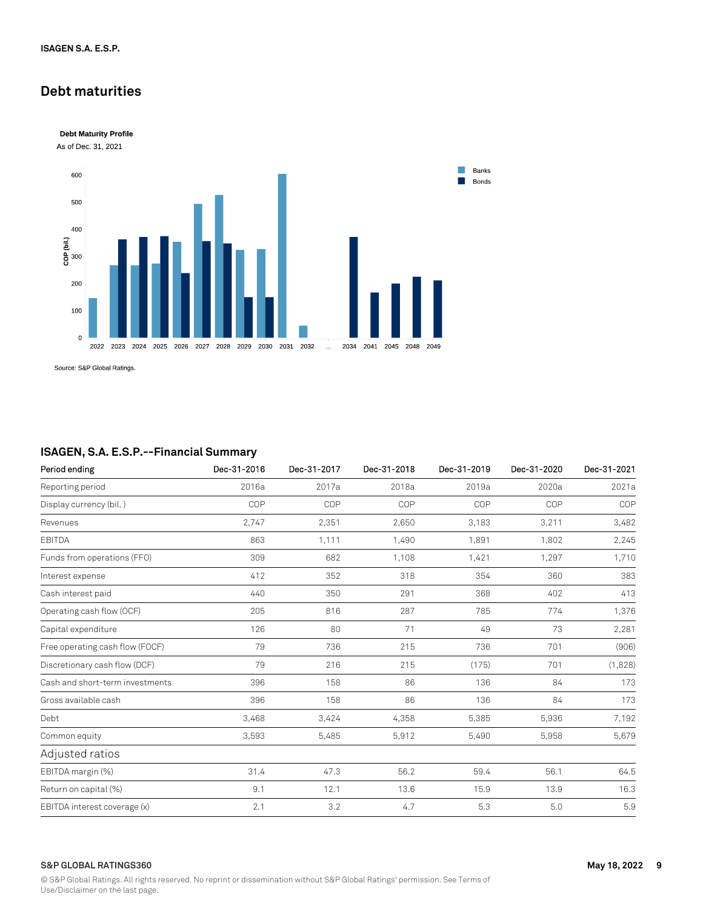### **Debt maturities**



Source: S&P Global Ratings.

### **ISAGEN, S.A. E.S.P.--Financial Summary**

| Period ending                   | Dec-31-2016 | Dec-31-2017 | Dec-31-2018 | Dec-31-2019 | Dec-31-2020 | Dec-31-2021 |
|---------------------------------|-------------|-------------|-------------|-------------|-------------|-------------|
| Reporting period                | 2016a       | 2017a       | 2018a       | 2019a       | 2020a       | 2021a       |
| Display currency (bil.)         | COP         | COP         | COP         | COP         | COP         | COP         |
| Revenues                        | 2,747       | 2,351       | 2,650       | 3,183       | 3,211       | 3,482       |
| <b>EBITDA</b>                   | 863         | 1,111       | 1,490       | 1,891       | 1,802       | 2,245       |
| Funds from operations (FFO)     | 309         | 682         | 1,108       | 1,421       | 1,297       | 1,710       |
| Interest expense                | 412         | 352         | 318         | 354         | 360         | 383         |
| Cash interest paid              | 440         | 350         | 291         | 368         | 402         | 413         |
| Operating cash flow (OCF)       | 205         | 816         | 287         | 785         | 774         | 1,376       |
| Capital expenditure             | 126         | 80          | 71          | 49          | 73          | 2,281       |
| Free operating cash flow (FOCF) | 79          | 736         | 215         | 736         | 701         | (906)       |
| Discretionary cash flow (DCF)   | 79          | 216         | 215         | (175)       | 701         | (1,828)     |
| Cash and short-term investments | 396         | 158         | 86          | 136         | 84          | 173         |
| Gross available cash            | 396         | 158         | 86          | 136         | 84          | 173         |
| Debt                            | 3,468       | 3,424       | 4,358       | 5,385       | 5,936       | 7,192       |
| Common equity                   | 3,593       | 5,485       | 5,912       | 5,490       | 5,958       | 5,679       |
| Adjusted ratios                 |             |             |             |             |             |             |
| EBITDA margin (%)               | 31.4        | 47.3        | 56.2        | 59.4        | 56.1        | 64.5        |
| Return on capital (%)           | 9.1         | 12.1        | 13.6        | 15.9        | 13.9        | 16.3        |
| EBITDA interest coverage (x)    | 2.1         | 3.2         | 4.7         | 5.3         | 5.0         | 5.9         |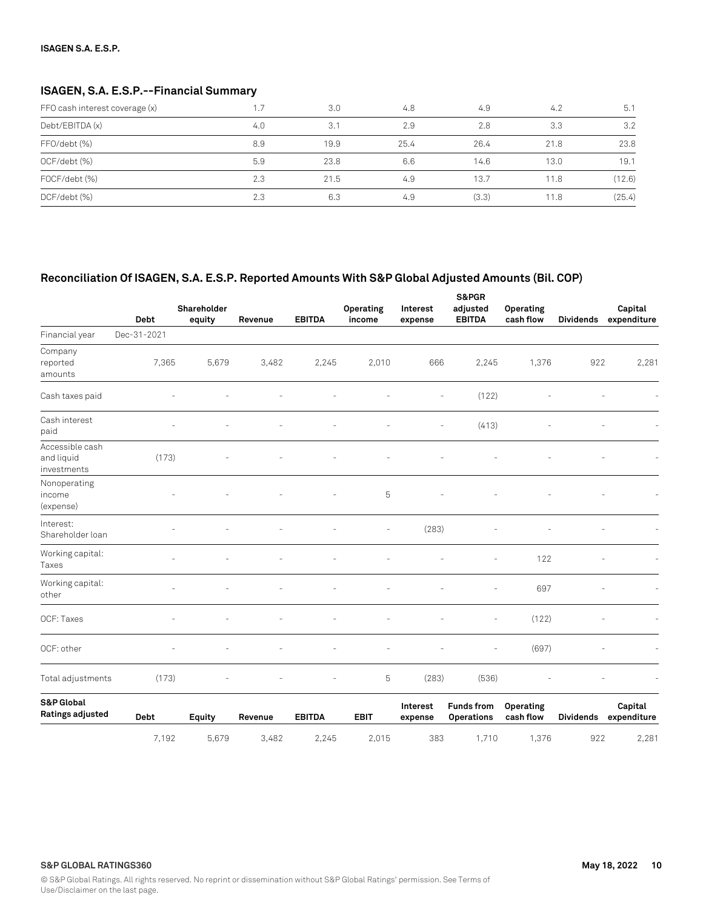### **ISAGEN, S.A. E.S.P.--Financial Summary**

| FFO cash interest coverage (x) | .7  | 3.0  | 4.8  | 4.9   | 4.2  | 5.1    |
|--------------------------------|-----|------|------|-------|------|--------|
| Debt/EBITDA (x)                | 4.0 | 3.1  | 2.9  | 2.8   | 3.3  | 3.2    |
| FFO/debt (%)                   | 8.9 | 19.9 | 25.4 | 26.4  | 21.8 | 23.8   |
| OCF/debt (%)                   | 5.9 | 23.8 | 6.6  | 14.6  | 13.0 | 19.1   |
| FOCF/debt (%)                  | 2.3 | 21.5 | 4.9  | 13.7  | 11.8 | (12.6) |
| DCF/debt (%)                   | 2.3 | 6.3  | 4.9  | (3.3) | 11.8 | (25.4) |

### **Reconciliation Of ISAGEN, S.A. E.S.P. Reported Amounts With S&P Global Adjusted Amounts (Bil. COP)**

|                                              | <b>Debt</b> | Shareholder<br>equity | Revenue | <b>EBITDA</b>  | Operating<br>income | Interest<br>expense | S&PGR<br>adjusted<br><b>EBITDA</b> | Operating<br>cash flow   | <b>Dividends</b>                   | Capital<br>expenditure |
|----------------------------------------------|-------------|-----------------------|---------|----------------|---------------------|---------------------|------------------------------------|--------------------------|------------------------------------|------------------------|
| Financial year                               | Dec-31-2021 |                       |         |                |                     |                     |                                    |                          |                                    |                        |
| Company<br>reported<br>amounts               | 7,365       | 5,679                 | 3,482   | 2,245          | 2,010               | 666                 | 2,245                              | 1,376                    | 922                                | 2,281                  |
| Cash taxes paid                              |             |                       |         |                |                     | $\bar{ }$           | (122)                              |                          |                                    |                        |
| Cash interest<br>paid                        | ÷,          |                       |         |                |                     | L,                  | (413)                              |                          |                                    |                        |
| Accessible cash<br>and liquid<br>investments | (173)       |                       |         |                |                     |                     |                                    |                          |                                    |                        |
| Nonoperating<br>income<br>(expense)          |             |                       |         |                | 5                   |                     |                                    |                          |                                    |                        |
| Interest:<br>Shareholder loan                |             |                       |         |                |                     | (283)               |                                    |                          |                                    |                        |
| Working capital:<br>Taxes                    |             |                       |         |                |                     |                     |                                    | 122                      |                                    |                        |
| Working capital:<br>other                    |             |                       |         |                |                     |                     | ä,                                 | 697                      |                                    |                        |
| OCF: Taxes                                   |             |                       |         |                |                     |                     | $\overline{\phantom{a}}$           | (122)                    |                                    |                        |
| OCF: other                                   |             |                       |         |                |                     |                     |                                    | (697)                    |                                    |                        |
| Total adjustments                            | (173)       |                       |         |                | 5                   | (283)               | (536)                              |                          |                                    |                        |
| <b>S&amp;P Global</b><br>Ratings adjusted    | $1.4$       |                       |         | <b>EDITO A</b> | <b>COLP</b>         | Interest            | <b>Funds from</b><br>$\sim$        | Operating<br>$-1 - 21 -$ | <b>Pattern Advised Association</b> | Capital                |

| S&P GlODAL<br>Ratings adjusted | <b>Debt</b>      | Eauity | Revenue | <b>EBITDA</b> | EBIT  | Interest<br>expense | <b>Funds from</b><br>Operations | Operating<br>cash flow | <b>Dividends</b> | Capital<br>expenditure |
|--------------------------------|------------------|--------|---------|---------------|-------|---------------------|---------------------------------|------------------------|------------------|------------------------|
|                                | $^{\prime}$ .192 | 5.679  | 3.482   | 2.245         | 2.015 | 383                 | .710                            | .376                   | 922              | 2.281                  |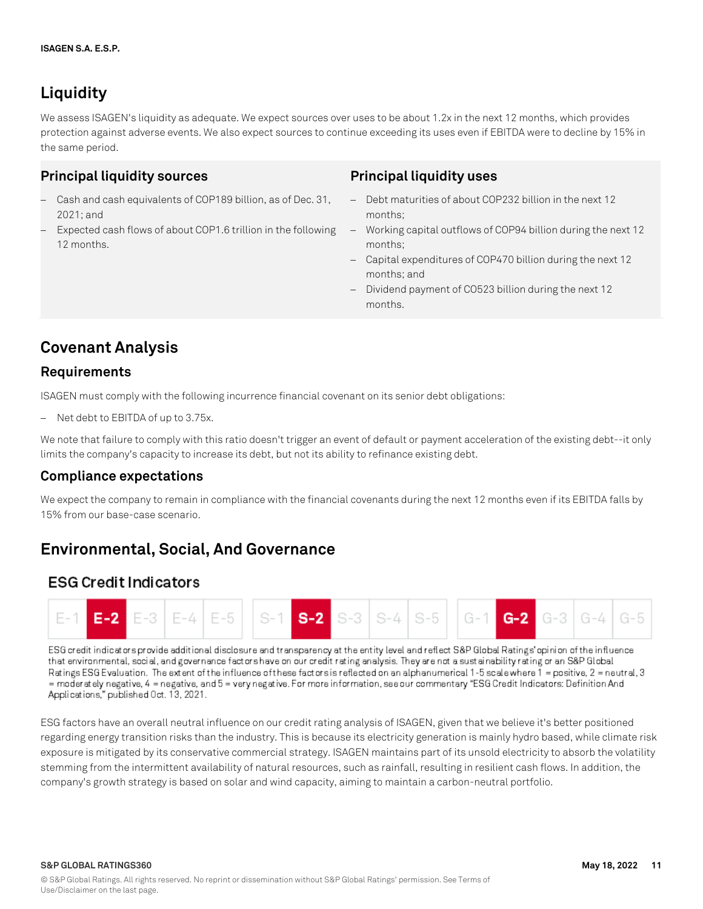## **Liquidity**

We assess ISAGEN's liquidity as adequate. We expect sources over uses to be about 1.2x in the next 12 months, which provides protection against adverse events. We also expect sources to continue exceeding its uses even if EBITDA were to decline by 15% in the same period.

### **Principal liquidity sources**

- Cash and cash equivalents of COP189 billion, as of Dec. 31, 2021; and
- Expected cash flows of about COP1.6 trillion in the following 12 months.

### **Principal liquidity uses**

- Debt maturities of about COP232 billion in the next 12 months;
- Working capital outflows of COP94 billion during the next 12 months;
- Capital expenditures of COP470 billion during the next 12 months; and
- Dividend payment of CO523 billion during the next 12 months.

## **Covenant Analysis**

### **Requirements**

ISAGEN must comply with the following incurrence financial covenant on its senior debt obligations:

Net debt to EBITDA of up to 3.75x.

We note that failure to comply with this ratio doesn't trigger an event of default or payment acceleration of the existing debt--it only limits the company's capacity to increase its debt, but not its ability to refinance existing debt.

### **Compliance expectations**

We expect the company to remain in compliance with the financial covenants during the next 12 months even if its EBITDA falls by 15% from our base-case scenario.

## **Environmental, Social, And Governance**

### **ESG Credit Indicators**



ESG credit indicators provide additional disclosure and transparency at the entity level and reflect S&P Global Ratings' opinion of the influence that environmental, social, and governance factors have on our credit rating analysis. They are not a sustainability rating or an S&P Global Ratings ESG Evaluation. The extent of the influence of these factors is reflected on an alphanumerical 1-5 scale where 1 = positive, 2 = neutral, 3 = moderately negative, 4 = negative, and 5 = very negative. For more information, see our commentary "ESG Credit Indicators: Definition And Applications," published Oct. 13, 2021.

ESG factors have an overall neutral influence on our credit rating analysis of ISAGEN, given that we believe it's better positioned regarding energy transition risks than the industry. This is because its electricity generation is mainly hydro based, while climate risk exposure is mitigated by its conservative commercial strategy. ISAGEN maintains part of its unsold electricity to absorb the volatility stemming from the intermittent availability of natural resources, such as rainfall, resulting in resilient cash flows. In addition, the company's growth strategy is based on solar and wind capacity, aiming to maintain a carbon-neutral portfolio.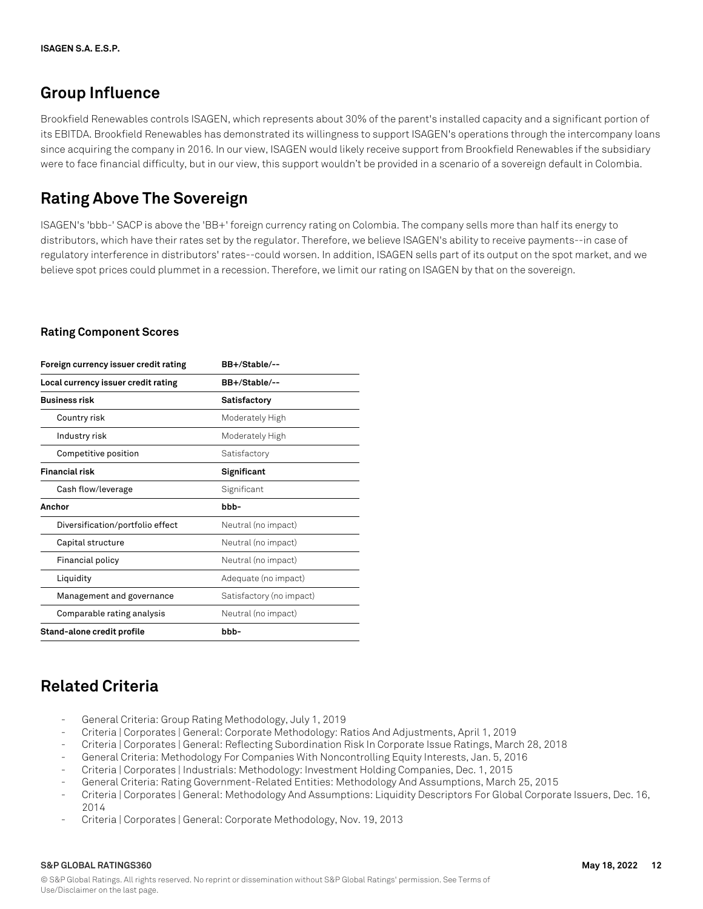## **Group Influence**

Brookfield Renewables controls ISAGEN, which represents about 30% of the parent's installed capacity and a significant portion of its EBITDA. Brookfield Renewables has demonstrated its willingness to support ISAGEN's operations through the intercompany loans since acquiring the company in 2016. In our view, ISAGEN would likely receive support from Brookfield Renewables if the subsidiary were to face financial difficulty, but in our view, this support wouldn't be provided in a scenario of a sovereign default in Colombia.

## **Rating Above The Sovereign**

ISAGEN's 'bbb-' SACP is above the 'BB+' foreign currency rating on Colombia. The company sells more than half its energy to distributors, which have their rates set by the regulator. Therefore, we believe ISAGEN's ability to receive payments--in case of regulatory interference in distributors' rates--could worsen. In addition, ISAGEN sells part of its output on the spot market, and we believe spot prices could plummet in a recession. Therefore, we limit our rating on ISAGEN by that on the sovereign.

### **Rating Component Scores**

| Foreign currency issuer credit rating | BB+/Stable/--            |
|---------------------------------------|--------------------------|
| Local currency issuer credit rating   | BB+/Stable/--            |
| <b>Business risk</b>                  | Satisfactory             |
| Country risk                          | Moderately High          |
| Industry risk                         | Moderately High          |
| Competitive position                  | Satisfactory             |
| <b>Financial risk</b>                 | Significant              |
| Cash flow/leverage                    | Significant              |
| Anchor                                | bbb-                     |
| Diversification/portfolio effect      | Neutral (no impact)      |
| Capital structure                     | Neutral (no impact)      |
| Financial policy                      | Neutral (no impact)      |
| Liquidity                             | Adequate (no impact)     |
| Management and governance             | Satisfactory (no impact) |
| Comparable rating analysis            | Neutral (no impact)      |
| Stand-alone credit profile            | bbb-                     |

## **Related Criteria**

- General Criteria: Group Rating Methodology, July 1, 2019
- Criteria | Corporates | General: Corporate Methodology: Ratios And Adjustments, April 1, 2019
- Criteria | Corporates | General: Reflecting Subordination Risk In Corporate Issue Ratings, March 28, 2018
- General Criteria: Methodology For Companies With Noncontrolling Equity Interests, Jan. 5, 2016
- Criteria | Corporates | Industrials: Methodology: Investment Holding Companies, Dec. 1, 2015
- General Criteria: Rating Government-Related Entities: Methodology And Assumptions, March 25, 2015
- Criteria | Corporates | General: Methodology And Assumptions: Liquidity Descriptors For Global Corporate Issuers, Dec. 16, 2014
- Criteria | Corporates | General: Corporate Methodology, Nov. 19, 2013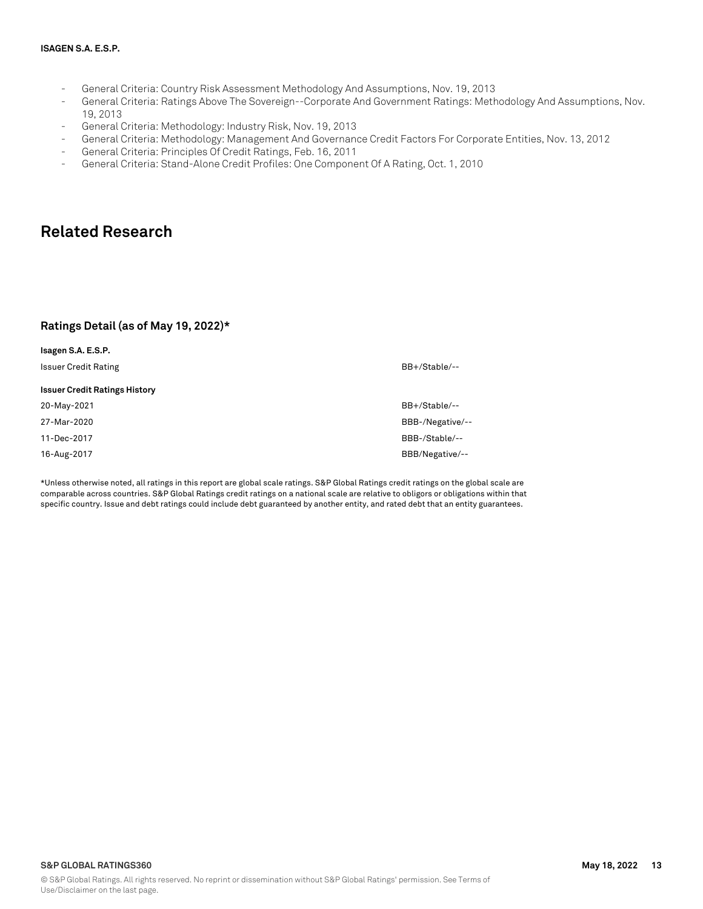- General Criteria: Country Risk Assessment Methodology And Assumptions, Nov. 19, 2013
- General Criteria: Ratings Above The Sovereign--Corporate And Government Ratings: Methodology And Assumptions, Nov. 19, 2013
- General Criteria: Methodology: Industry Risk, Nov. 19, 2013
- General Criteria: Methodology: Management And Governance Credit Factors For Corporate Entities, Nov. 13, 2012
- General Criteria: Principles Of Credit Ratings, Feb. 16, 2011
- General Criteria: Stand-Alone Credit Profiles: One Component Of A Rating, Oct. 1, 2010

### **Related Research**

#### **Ratings Detail (as of May 19, 2022)\***

| Isagen S.A. E.S.P.                   |                  |
|--------------------------------------|------------------|
| <b>Issuer Credit Rating</b>          | BB+/Stable/--    |
| <b>Issuer Credit Ratings History</b> |                  |
| 20-May-2021                          | BB+/Stable/--    |
| 27-Mar-2020                          | BBB-/Negative/-- |
| 11-Dec-2017                          | BBB-/Stable/--   |
| 16-Aug-2017                          | BBB/Negative/--  |

\*Unless otherwise noted, all ratings in this report are global scale ratings. S&P Global Ratings credit ratings on the global scale are comparable across countries. S&P Global Ratings credit ratings on a national scale are relative to obligors or obligations within that specific country. Issue and debt ratings could include debt guaranteed by another entity, and rated debt that an entity guarantees.